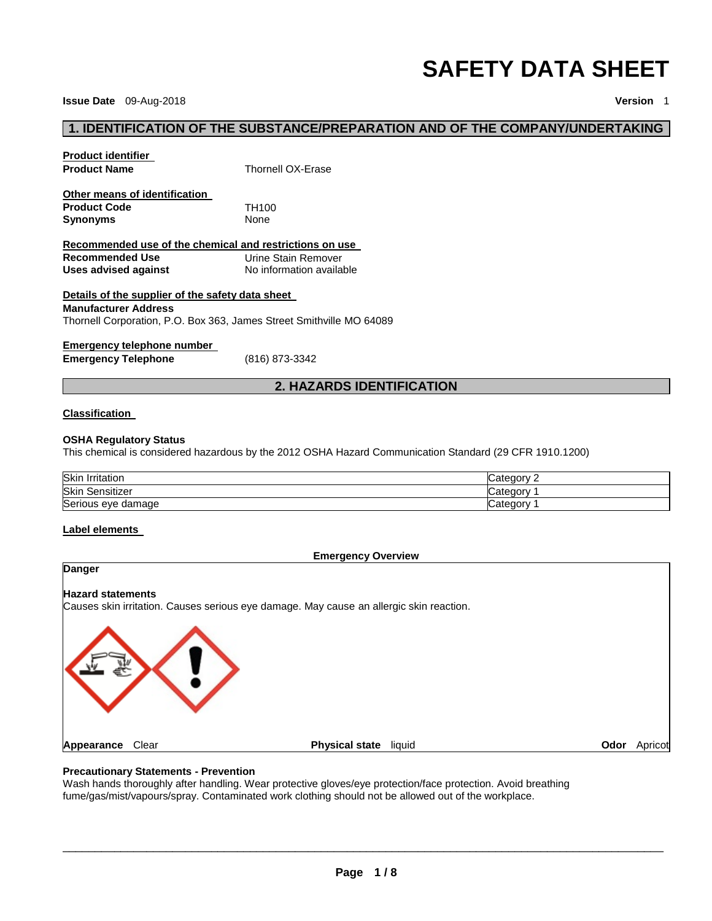# **SAFETY DATA SHEET**

**Issue Date** 09-Aug-2018 **Version** 1

# **1. IDENTIFICATION OF THE SUBSTANCE/PREPARATION AND OF THE COMPANY/UNDERTAKING**

| <b>Product identifier</b><br><b>Product Name</b>                                                   | <b>Thornell OX-Erase</b>                        |
|----------------------------------------------------------------------------------------------------|-------------------------------------------------|
| Other means of identification<br><b>Product Code</b><br><b>Synonyms</b>                            | TH <sub>100</sub><br><b>None</b>                |
| Recommended use of the chemical and restrictions on use<br>Recommended Use<br>Uses advised against | Urine Stain Remover<br>No information available |

#### **Details of the supplier of the safety data sheet**

#### **Manufacturer Address**

Thornell Corporation, P.O. Box 363, James Street Smithville MO 64089

#### **Emergency telephone number**

**Emergency Telephone** (816) 873-3342

# **2. HAZARDS IDENTIFICATION**

#### **Classification**

#### **OSHA Regulatory Status**

This chemical is considered hazardous by the 2012 OSHA Hazard Communication Standard (29 CFR 1910.1200)

| Skin<br>Irritation             | `ategory<br>uditi |
|--------------------------------|-------------------|
| Skin<br>$\cdots$<br>Sensitizer | ∵ateɑorvٽ         |
| Serious eye damage             | ′ ategoryٽ        |

#### **Label elements**



#### **Precautionary Statements - Prevention**

Wash hands thoroughly after handling. Wear protective gloves/eye protection/face protection. Avoid breathing fume/gas/mist/vapours/spray. Contaminated work clothing should not be allowed out of the workplace.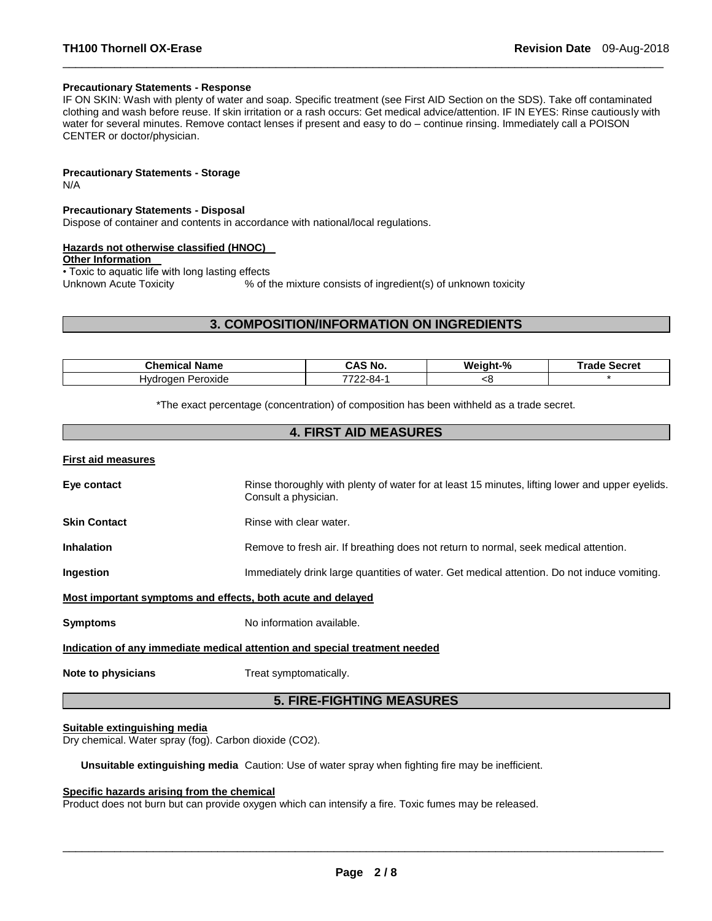#### **Precautionary Statements - Response**

IF ON SKIN: Wash with plenty of water and soap. Specific treatment (see First AID Section on the SDS). Take off contaminated clothing and wash before reuse. If skin irritation or a rash occurs: Get medical advice/attention. IF IN EYES: Rinse cautiously with water for several minutes. Remove contact lenses if present and easy to do – continue rinsing. Immediately call a POISON CENTER or doctor/physician.

\_\_\_\_\_\_\_\_\_\_\_\_\_\_\_\_\_\_\_\_\_\_\_\_\_\_\_\_\_\_\_\_\_\_\_\_\_\_\_\_\_\_\_\_\_\_\_\_\_\_\_\_\_\_\_\_\_\_\_\_\_\_\_\_\_\_\_\_\_\_\_\_\_\_\_\_\_\_\_\_\_\_\_\_\_\_\_\_\_\_\_\_\_

**Precautionary Statements - Storage**

N/A

#### **Precautionary Statements - Disposal**

Dispose of container and contents in accordance with national/local regulations.

#### **Hazards not otherwise classified (HNOC)**

**Other Information** 

• Toxic to aquatic life with long lasting effects<br>Unknown Acute Toxicity % of t % of the mixture consists of ingredient(s) of unknown toxicity

#### **3. COMPOSITION/INFORMATION ON INGREDIENTS**

| Chemica<br><b>Name</b><br>. ан | . .<br>CA.<br>` No.                  | Weight-% | ™rad⊾<br>Secret |
|--------------------------------|--------------------------------------|----------|-----------------|
| Peroxide<br>⊣∨dr<br>naer       | —— <b>—</b><br>-хл.<br>--<br>$\cdot$ | ເບ       |                 |

\*The exact percentage (concentration) of composition has been withheld as a trade secret.

# **4. FIRST AID MEASURES**

#### **First aid measures**

| Eye contact                                                 | Rinse thoroughly with plenty of water for at least 15 minutes, lifting lower and upper eyelids.<br>Consult a physician. |  |
|-------------------------------------------------------------|-------------------------------------------------------------------------------------------------------------------------|--|
| <b>Skin Contact</b>                                         | Rinse with clear water.                                                                                                 |  |
| <b>Inhalation</b>                                           | Remove to fresh air. If breathing does not return to normal, seek medical attention.                                    |  |
| <b>Ingestion</b>                                            | Immediately drink large quantities of water. Get medical attention. Do not induce vomiting.                             |  |
| Most important symptoms and effects, both acute and delayed |                                                                                                                         |  |

**Symptoms** No information available.

#### **Indication of any immediate medical attention and special treatment needed**

**Note to physicians Treat symptomatically.** 

# **5. FIRE-FIGHTING MEASURES**

#### **Suitable extinguishing media**

Dry chemical. Water spray (fog). Carbon dioxide (CO2).

**Unsuitable extinguishing media** Caution: Use of water spray when fighting fire may be inefficient.

#### **Specific hazards arising from the chemical**

Product does not burn but can provide oxygen which can intensify a fire. Toxic fumes may be released.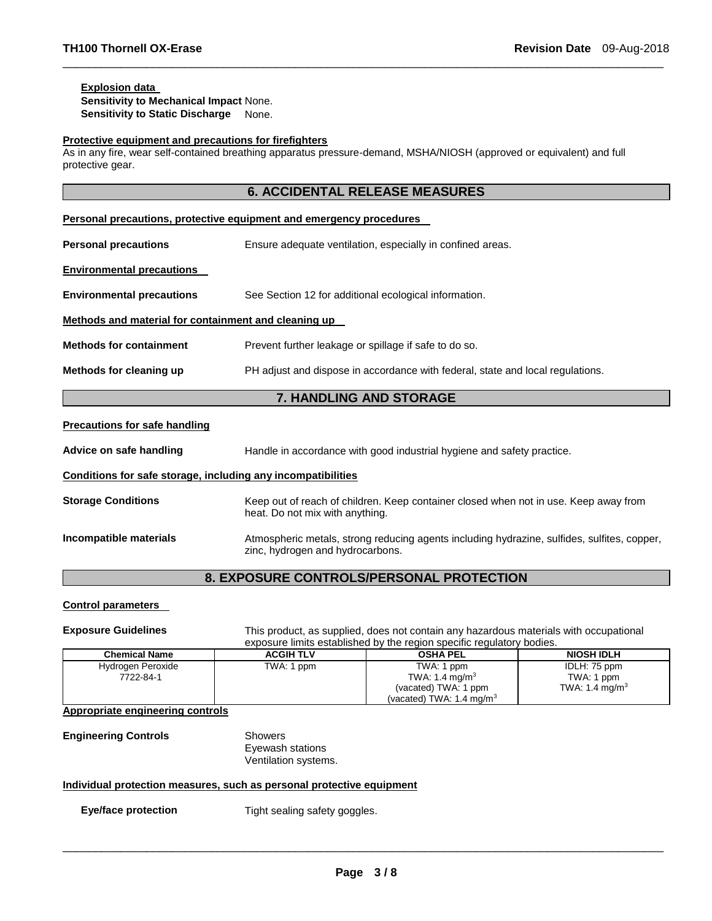#### **Explosion data**

**Sensitivity to Mechanical Impact** None. **Sensitivity to Static Discharge None.** 

#### **Protective equipment and precautions for firefighters**

As in any fire, wear self-contained breathing apparatus pressure-demand, MSHA/NIOSH (approved or equivalent) and full protective gear.

\_\_\_\_\_\_\_\_\_\_\_\_\_\_\_\_\_\_\_\_\_\_\_\_\_\_\_\_\_\_\_\_\_\_\_\_\_\_\_\_\_\_\_\_\_\_\_\_\_\_\_\_\_\_\_\_\_\_\_\_\_\_\_\_\_\_\_\_\_\_\_\_\_\_\_\_\_\_\_\_\_\_\_\_\_\_\_\_\_\_\_\_\_

| <b>6. ACCIDENTAL RELEASE MEASURES</b>                                      |                                                                                |  |  |
|----------------------------------------------------------------------------|--------------------------------------------------------------------------------|--|--|
| <b>Personal precautions, protective equipment and emergency procedures</b> |                                                                                |  |  |
| <b>Personal precautions</b>                                                | Ensure adequate ventilation, especially in confined areas.                     |  |  |
| <b>Environmental precautions</b>                                           |                                                                                |  |  |
| <b>Environmental precautions</b>                                           | See Section 12 for additional ecological information.                          |  |  |
| Methods and material for containment and cleaning up                       |                                                                                |  |  |
| <b>Methods for containment</b>                                             | Prevent further leakage or spillage if safe to do so.                          |  |  |
| Methods for cleaning up                                                    | PH adjust and dispose in accordance with federal, state and local regulations. |  |  |
| <b>7. HANDLING AND STORAGE</b>                                             |                                                                                |  |  |

#### **Precautions for safe handling**

**Advice on safe handling** Handle in accordance with good industrial hygiene and safety practice.

#### **Conditions for safe storage, including any incompatibilities**

**Storage Conditions** Keep out of reach of children. Keep container closed when not in use. Keep away from heat. Do not mix with anything. **Incompatible materials Atmospheric metals, strong reducing agents including hydrazine, sulfides, sulfites, copper,** zinc, hydrogen and hydrocarbons.

# **8. EXPOSURE CONTROLS/PERSONAL PROTECTION**

#### **Control parameters**

**Exposure Guidelines** This product, as supplied, does not contain any hazardous materials with occupational exposure limits established by the region specific regulatory bodies.

| <b>Chemical Name</b> | <b>ACGIH TLV</b> | <b>OSHA PEL</b>                     | <b>NIOSH IDLH</b>          |
|----------------------|------------------|-------------------------------------|----------------------------|
| Hydrogen Peroxide    | TWA: 1 ppm       | TWA: 1 ppm                          | IDLH: 75 ppm               |
| 7722-84-1            |                  | TWA: 1.4 mg/m <sup>3</sup>          | TWA: 1 ppm                 |
|                      |                  | (vacated) TWA: 1 ppm                | TWA: 1.4 mg/m <sup>3</sup> |
|                      |                  | (vacated) TWA: $1.4 \text{ mg/m}^3$ |                            |

**Appropriate engineering controls**

**Engineering Controls** Showers

Eyewash stations Ventilation systems.

#### **Individual protection measures, such as personal protective equipment**

**Eye/face protection Tight sealing safety goggles.**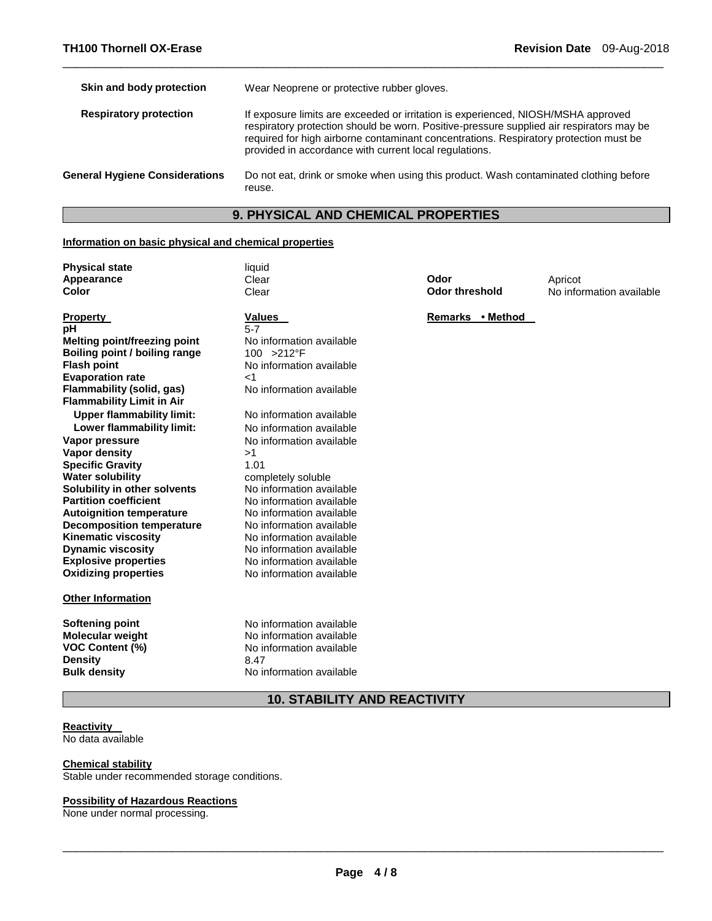| Skin and body protection              | Wear Neoprene or protective rubber gloves.                                                                                                                                                                                                                                                                                       |
|---------------------------------------|----------------------------------------------------------------------------------------------------------------------------------------------------------------------------------------------------------------------------------------------------------------------------------------------------------------------------------|
| <b>Respiratory protection</b>         | If exposure limits are exceeded or irritation is experienced, NIOSH/MSHA approved<br>respiratory protection should be worn. Positive-pressure supplied air respirators may be<br>required for high airborne contaminant concentrations. Respiratory protection must be<br>provided in accordance with current local regulations. |
| <b>General Hygiene Considerations</b> | Do not eat, drink or smoke when using this product. Wash contaminated clothing before<br>reuse.                                                                                                                                                                                                                                  |

\_\_\_\_\_\_\_\_\_\_\_\_\_\_\_\_\_\_\_\_\_\_\_\_\_\_\_\_\_\_\_\_\_\_\_\_\_\_\_\_\_\_\_\_\_\_\_\_\_\_\_\_\_\_\_\_\_\_\_\_\_\_\_\_\_\_\_\_\_\_\_\_\_\_\_\_\_\_\_\_\_\_\_\_\_\_\_\_\_\_\_\_\_

# **9. PHYSICAL AND CHEMICAL PROPERTIES**

#### **Information on basic physical and chemical properties**

| <b>Physical state</b><br>Appearance<br>Color                                        | liauid<br>Clear<br>Clear                                               | Odor<br>Odor threshold     | Apricot<br>No information available |
|-------------------------------------------------------------------------------------|------------------------------------------------------------------------|----------------------------|-------------------------------------|
| <b>Property</b><br>pН                                                               | <b>Values</b><br>5-7                                                   | • Method<br><b>Remarks</b> |                                     |
| Melting point/freezing point<br>Boiling point / boiling range<br><b>Flash point</b> | No information available<br>$100 > 212$ °F<br>No information available |                            |                                     |

**Flammability (solid, gas)** No information available

**No information available Lower flammability limit:** No information available **No information available** 

**No information available** 

**No information available** 

completely soluble No information available **No information available No information available No information available No information available** No information available **Explosive properties** No information available **Oxidizing properties** No information available

**Specific Gravity** 1.01

| <b>Meiting point/freezing point</b> | NO. |
|-------------------------------------|-----|
| Boiling point / boiling range       | 100 |
| <b>Flash point</b>                  | No  |
| <b>Evaporation rate</b>             | <1  |
| Flammability (solid, gas)           | No  |
| <b>Flammability Limit in Air</b>    |     |
| <b>Upper flammability limit:</b>    | No  |
| Lower flammability limit:           | No  |
| Vapor pressure                      | No  |
| Vapor density                       | >1  |
| <b>Specific Gravity</b>             | 1.0 |
| <b>Water solubility</b>             | cor |
| Solubility in other solvents        | No  |
| <b>Partition coefficient</b>        | No  |
| <b>Autoignition temperature</b>     | No  |
| <b>Decomposition temperature</b>    | No  |
| <b>Kinematic viscosity</b>          | No  |
| <b>Dynamic viscosity</b>            | No  |
| <b>Explosive properties</b>         | No  |
| <b>Oxidizing properties</b>         | No  |
|                                     |     |

#### **Other Information**

**Softening point No information available**<br> **Molecular weight No information available Molecular weight <br>VOC Content (%) <br>No information available<br>Note information available Density** 8.47

# **10. STABILITY AND REACTIVITY**

#### **Reactivity**  No data available

#### **Chemical stability**

Stable under recommended storage conditions.

#### **Possibility of Hazardous Reactions**

None under normal processing.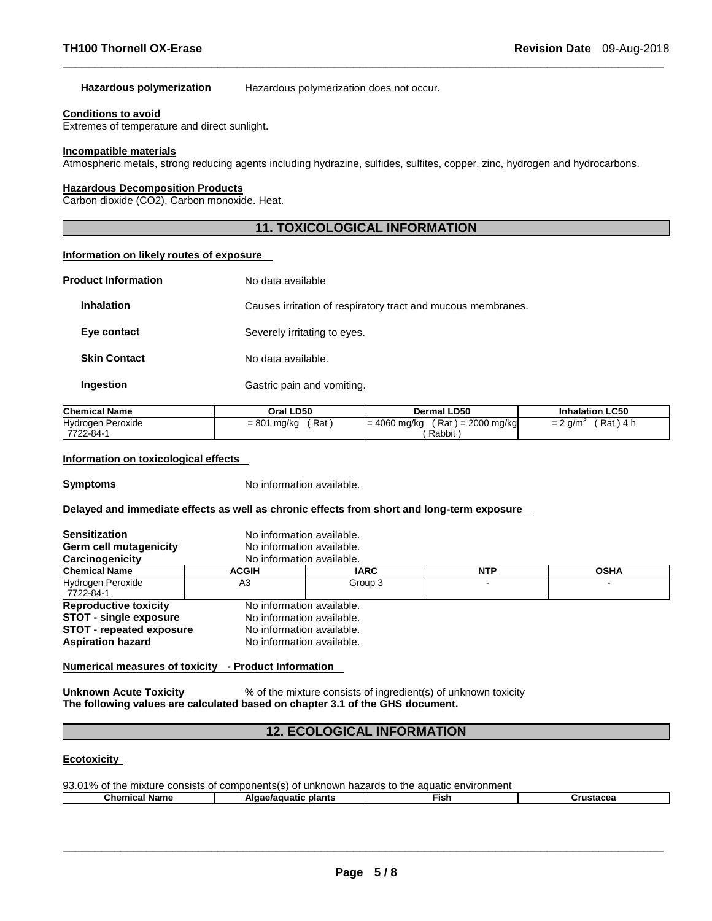#### **Hazardous polymerization** Hazardous polymerization does not occur.

#### **Conditions to avoid**

Extremes of temperature and direct sunlight.

#### **Incompatible materials**

Atmospheric metals, strong reducing agents including hydrazine, sulfides, sulfites, copper, zinc, hydrogen and hydrocarbons.

\_\_\_\_\_\_\_\_\_\_\_\_\_\_\_\_\_\_\_\_\_\_\_\_\_\_\_\_\_\_\_\_\_\_\_\_\_\_\_\_\_\_\_\_\_\_\_\_\_\_\_\_\_\_\_\_\_\_\_\_\_\_\_\_\_\_\_\_\_\_\_\_\_\_\_\_\_\_\_\_\_\_\_\_\_\_\_\_\_\_\_\_\_

# **Hazardous Decomposition Products**

Carbon dioxide (CO2). Carbon monoxide. Heat.

# **11. TOXICOLOGICAL INFORMATION**

#### **Information on likely routes of exposure**

| <b>Product Information</b> | No data available                                            |
|----------------------------|--------------------------------------------------------------|
| <b>Inhalation</b>          | Causes irritation of respiratory tract and mucous membranes. |
| Eye contact                | Severely irritating to eyes.                                 |
| <b>Skin Contact</b>        | No data available.                                           |
| Ingestion                  | Gastric pain and vomiting.                                   |

| <b>Chemical Name</b>           | Oral LD50            | <b>Dermal LD50</b>                               | <b>Inhalation LC50</b>                 |
|--------------------------------|----------------------|--------------------------------------------------|----------------------------------------|
| Hydrogen Peroxide<br>7722-84-1 | $= 801$ mg/kg<br>Rat | $= 4060$ mg/kg<br>( Rat ) = 2000 mg/kg<br>Rabbit | Rat<br>) 4 h<br>$= 2$ g/m <sup>3</sup> |

#### **Information on toxicological effects**

**Symptoms** No information available.

#### **Delayed and immediate effects as well as chronic effects from short and long-term exposure**

| <b>Sensitization</b><br>Germ cell mutagenicity<br>Carcinogenicity                                                            |              | No information available.<br>No information available.<br>No information available.                              |            |             |  |
|------------------------------------------------------------------------------------------------------------------------------|--------------|------------------------------------------------------------------------------------------------------------------|------------|-------------|--|
| <b>Chemical Name</b>                                                                                                         | <b>ACGIH</b> | <b>IARC</b>                                                                                                      | <b>NTP</b> | <b>OSHA</b> |  |
| <b>Hydrogen Peroxide</b><br>7722-84-1                                                                                        | A3           | Group 3                                                                                                          |            |             |  |
| <b>Reproductive toxicity</b><br><b>STOT - single exposure</b><br><b>STOT</b> - repeated exposure<br><b>Aspiration hazard</b> |              | No information available.<br>No information available.<br>No information available.<br>No information available. |            |             |  |

#### **Numerical measures of toxicity - Product Information**

**Unknown Acute Toxicity 8.1 % 9% of the mixture consists of ingredient(s) of unknown toxicity The following values are calculated based on chapter 3.1 of the GHS document.**

# **12. ECOLOGICAL INFORMATION**

#### **Ecotoxicity**

| 93.01% of the mixture consists of components(s) of unknown hazards to the aguatic environment |                      |      |           |  |
|-----------------------------------------------------------------------------------------------|----------------------|------|-----------|--|
| Chemical Name                                                                                 | Algae/aguatic plants | Fish | Crustacea |  |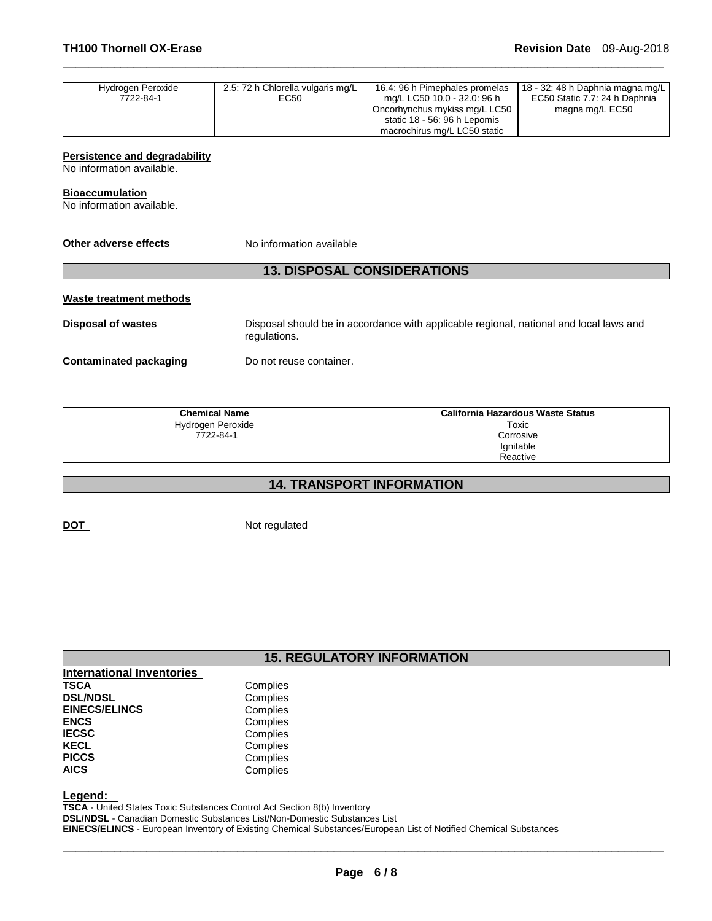| Hydrogen Peroxide | 2.5: 72 h Chlorella vulgaris mg/L | 16.4: 96 h Pimephales promelas | 18 - 32: 48 h Daphnia magna mg/L |
|-------------------|-----------------------------------|--------------------------------|----------------------------------|
| 7722-84-1         | EC50                              | mg/L LC50 10.0 - 32.0: 96 h    | EC50 Static 7.7: 24 h Daphnia    |
|                   |                                   | Oncorhynchus mykiss mg/L LC50  | magna mg/L EC50                  |
|                   |                                   | static 18 - 56: 96 h Lepomis   |                                  |
|                   |                                   | macrochirus mg/L LC50 static   |                                  |

\_\_\_\_\_\_\_\_\_\_\_\_\_\_\_\_\_\_\_\_\_\_\_\_\_\_\_\_\_\_\_\_\_\_\_\_\_\_\_\_\_\_\_\_\_\_\_\_\_\_\_\_\_\_\_\_\_\_\_\_\_\_\_\_\_\_\_\_\_\_\_\_\_\_\_\_\_\_\_\_\_\_\_\_\_\_\_\_\_\_\_\_\_

#### **Persistence and degradability**

No information available.

#### **Bioaccumulation**

No information available.

**Other adverse effects** No information available

# **13. DISPOSAL CONSIDERATIONS**

#### **Waste treatment methods**

**Disposal of wastes** Disposal should be in accordance with applicable regional, national and local laws and regulations.

**Contaminated packaging by Do not reuse container.** 

| <b>Chemical Name</b> | California Hazardous Waste Status |
|----------------------|-----------------------------------|
| Hydrogen Peroxide    | Toxic                             |
| 7722-84-1            | Corrosive                         |
|                      | Ignitable                         |
|                      | Reactive                          |

# **14. TRANSPORT INFORMATION**

**DOT** Not regulated

# **15. REGULATORY INFORMATION**

| <b>International Inventories</b> |          |
|----------------------------------|----------|
| <b>TSCA</b>                      | Complies |
| <b>DSL/NDSL</b>                  | Complies |
| <b>EINECS/ELINCS</b>             | Complies |
| <b>ENCS</b>                      | Complies |
| <b>IECSC</b>                     | Complies |
| <b>KECL</b>                      | Complies |
| <b>PICCS</b>                     | Complies |
| <b>AICS</b>                      | Complies |

**Legend:** 

**TSCA** - United States Toxic Substances Control Act Section 8(b) Inventory **DSL/NDSL** - Canadian Domestic Substances List/Non-Domestic Substances List **EINECS/ELINCS** - European Inventory of Existing Chemical Substances/European List of Notified Chemical Substances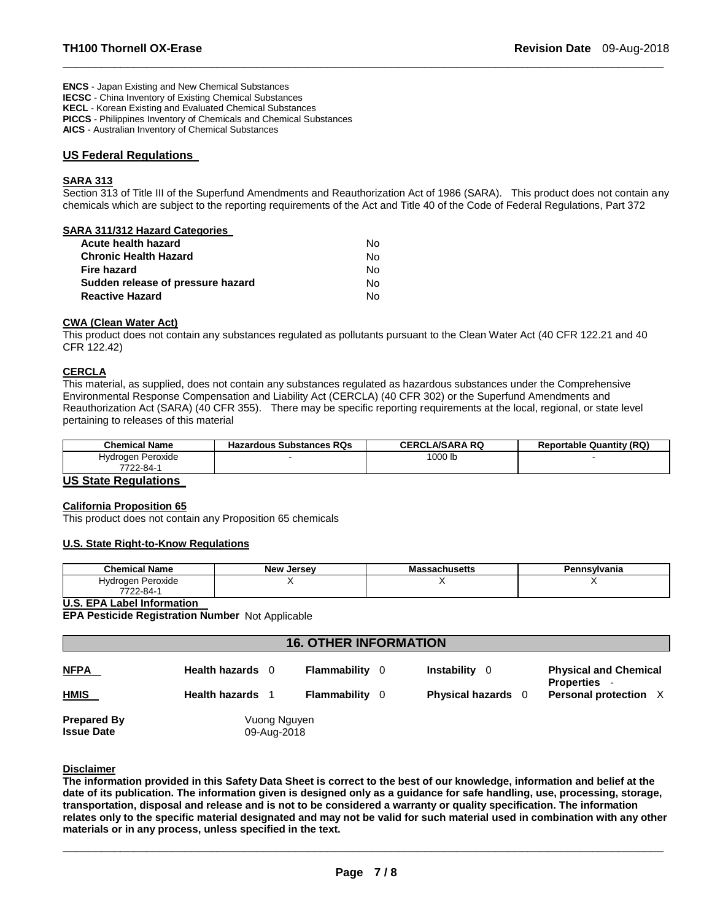**ENCS** - Japan Existing and New Chemical Substances **IECSC** - China Inventory of Existing Chemical Substances **KECL** - Korean Existing and Evaluated Chemical Substances **PICCS** - Philippines Inventory of Chemicals and Chemical Substances

**AICS** - Australian Inventory of Chemical Substances

#### **US Federal Regulations**

#### **SARA 313**

Section 313 of Title III of the Superfund Amendments and Reauthorization Act of 1986 (SARA). This product does not contain any chemicals which are subject to the reporting requirements of the Act and Title 40 of the Code of Federal Regulations, Part 372

\_\_\_\_\_\_\_\_\_\_\_\_\_\_\_\_\_\_\_\_\_\_\_\_\_\_\_\_\_\_\_\_\_\_\_\_\_\_\_\_\_\_\_\_\_\_\_\_\_\_\_\_\_\_\_\_\_\_\_\_\_\_\_\_\_\_\_\_\_\_\_\_\_\_\_\_\_\_\_\_\_\_\_\_\_\_\_\_\_\_\_\_\_

#### **SARA 311/312 Hazard Categories**

| Acute health hazard               | No. |
|-----------------------------------|-----|
| <b>Chronic Health Hazard</b>      | N٥  |
| Fire hazard                       | No. |
| Sudden release of pressure hazard | Nο  |
| <b>Reactive Hazard</b>            | No. |

#### **CWA (Clean Water Act)**

This product does not contain any substances regulated as pollutants pursuant to the Clean Water Act (40 CFR 122.21 and 40 CFR 122.42)

#### **CERCLA**

This material, as supplied, does not contain any substances regulated as hazardous substances under the Comprehensive Environmental Response Compensation and Liability Act (CERCLA) (40 CFR 302) or the Superfund Amendments and Reauthorization Act (SARA) (40 CFR 355). There may be specific reporting requirements at the local, regional, or state level pertaining to releases of this material

| <b>Chemical Name</b> | <b>Hazardous Substances RQs</b> | <b>CERCLA/SARA RQ</b> | <b>Reportable Quantity (RQ)</b> |
|----------------------|---------------------------------|-----------------------|---------------------------------|
| Hydrogen Peroxide    |                                 | 1000 lb               |                                 |
| 7722-84-1            |                                 |                       |                                 |

#### **US State Regulations**

#### **California Proposition 65**

This product does not contain any Proposition 65 chemicals

#### **U.S. State Right-to-Know Regulations**

| <b>Chemical Name</b> | <b>New Jersey</b> | ssachusetts<br>ма: | Pennsvlvania |
|----------------------|-------------------|--------------------|--------------|
| Hydrogen Peroxide    |                   | . .                |              |
| 7722-84-1            |                   |                    |              |

#### **U.S. EPA Label Information**

**EPA Pesticide Registration Number** Not Applicable

| <b>16. OTHER INFORMATION</b> |                  |                     |                                     |                                                   |
|------------------------------|------------------|---------------------|-------------------------------------|---------------------------------------------------|
| <b>NFPA</b>                  | Health hazards 0 | Flammability<br>- 0 | <b>Instability</b> 0                | <b>Physical and Chemical</b><br><b>Properties</b> |
| <b>HMIS</b>                  | Health hazards 1 | Flammability<br>- 0 | <b>Physical hazards</b><br>$\Omega$ | Personal protection X                             |
| <b>Prepared By</b>           | Vuong Nguyen     |                     |                                     |                                                   |
| <b>Issue Date</b>            | 09-Aug-2018      |                     |                                     |                                                   |

#### **Disclaimer**

**The information provided in this Safety Data Sheet is correct to the best of our knowledge, information and belief at the date of its publication. The information given is designed only as a guidance for safe handling, use, processing, storage, transportation, disposal and release and is not to be considered a warranty or quality specification. The information relates only to the specific material designated and may not be valid for such material used in combination with any other materials or in any process, unless specified in the text.**